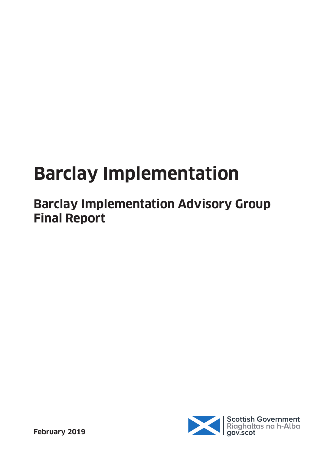# **Barclay Implementation**

# **Barclay Implementation Advisory Group Final Report**

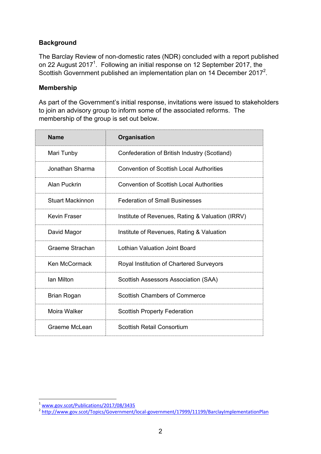# **Background**

The Barclay Review of non-domestic rates (NDR) concluded with a report published on 22 August 2017<sup>1</sup>. Following an initial response on 12 September 2017, the Scottish Government published an implementation plan on 14 December 2017<sup>2</sup>.

#### **Membership**

As part of the Government's initial response, invitations were issued to stakeholders to join an advisory group to inform some of the associated reforms. The membership of the group is set out below.

| <b>Name</b>             | Organisation                                     |
|-------------------------|--------------------------------------------------|
| Mari Tunby              | Confederation of British Industry (Scotland)     |
| Jonathan Sharma         | <b>Convention of Scottish Local Authorities</b>  |
| Alan Puckrin            | Convention of Scottish Local Authorities         |
| <b>Stuart Mackinnon</b> | <b>Federation of Small Businesses</b>            |
| Kevin Fraser            | Institute of Revenues, Rating & Valuation (IRRV) |
| David Magor             | Institute of Revenues, Rating & Valuation        |
| Graeme Strachan         | Lothian Valuation Joint Board                    |
| Ken McCormack           | Royal Institution of Chartered Surveyors         |
| Ian Milton              | Scottish Assessors Association (SAA)             |
| Brian Rogan             | <b>Scottish Chambers of Commerce</b>             |
| Moira Walker            | <b>Scottish Property Federation</b>              |
| Graeme McLean           | Scottish Retail Consortium                       |

<sup>&</sup>lt;sup>1</sup> [www.gov.scot/Publications/2017/08/3435](http://www.gov.scot/Publications/2017/08/3435)<br><sup>2</sup> <http://www.gov.scot/Topics/Government/local-government/17999/11199/BarclayImplementationPlan>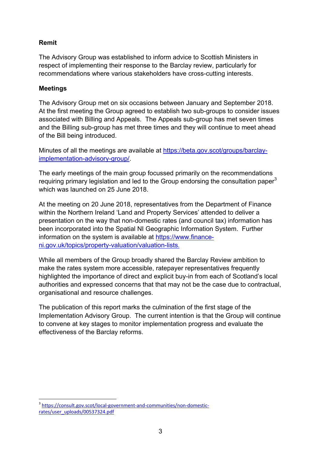# **Remit**

The Advisory Group was established to inform advice to Scottish Ministers in respect of implementing their response to the Barclay review, particularly for recommendations where various stakeholders have cross-cutting interests.

# **Meetings**

The Advisory Group met on six occasions between January and September 2018. At the first meeting the Group agreed to establish two sub-groups to consider issues associated with Billing and Appeals. The Appeals sub-group has met seven times and the Billing sub-group has met three times and they will continue to meet ahead of the Bill being introduced.

Minutes of all the meetings are available at [https://beta.gov.scot/groups/barclay](https://beta.gov.scot/groups/barclay-implementation-advisory-group/)[implementation-advisory-group/.](https://beta.gov.scot/groups/barclay-implementation-advisory-group/)

The early meetings of the main group focussed primarily on the recommendations requiring primary legislation and led to the Group endorsing the consultation paper<sup>3</sup> which was launched on 25 June 2018.

At the meeting on 20 June 2018, representatives from the Department of Finance within the Northern Ireland 'Land and Property Services' attended to deliver a presentation on the way that non-domestic rates (and council tax) information has been incorporated into the Spatial NI Geographic Information System. Further information on the system is available at [https://www.finance](https://www.finance-ni.gov.uk/topics/property-valuation/valuation-lists)[ni.gov.uk/topics/property-valuation/valuation-lists](https://www.finance-ni.gov.uk/topics/property-valuation/valuation-lists).

While all members of the Group broadly shared the Barclay Review ambition to make the rates system more accessible, ratepayer representatives frequently highlighted the importance of direct and explicit buy-in from each of Scotland's local authorities and expressed concerns that that may not be the case due to contractual, organisational and resource challenges.

The publication of this report marks the culmination of the first stage of the Implementation Advisory Group. The current intention is that the Group will continue to convene at key stages to monitor implementation progress and evaluate the effectiveness of the Barclay reforms.

 $\overline{a}$ <sup>3</sup> [https://consult.gov.scot/local-government-and-communities/non-domestic](https://consult.gov.scot/local-government-and-communities/non-domestic-rates/user_uploads/00537324.pdf)[rates/user\\_uploads/00537324.pdf](https://consult.gov.scot/local-government-and-communities/non-domestic-rates/user_uploads/00537324.pdf)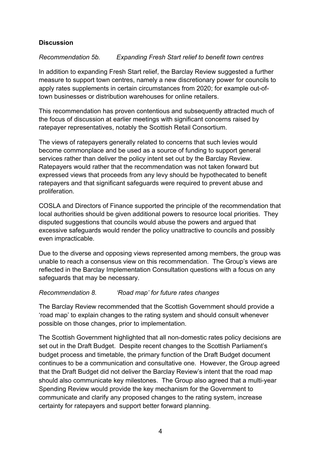# **Discussion**

# *Recommendation 5b. Expanding Fresh Start relief to benefit town centres*

In addition to expanding Fresh Start relief, the Barclay Review suggested a further measure to support town centres, namely a new discretionary power for councils to apply rates supplements in certain circumstances from 2020; for example out-oftown businesses or distribution warehouses for online retailers.

This recommendation has proven contentious and subsequently attracted much of the focus of discussion at earlier meetings with significant concerns raised by ratepayer representatives, notably the Scottish Retail Consortium.

The views of ratepayers generally related to concerns that such levies would become commonplace and be used as a source of funding to support general services rather than deliver the policy intent set out by the Barclay Review. Ratepayers would rather that the recommendation was not taken forward but expressed views that proceeds from any levy should be hypothecated to benefit ratepayers and that significant safeguards were required to prevent abuse and proliferation.

COSLA and Directors of Finance supported the principle of the recommendation that local authorities should be given additional powers to resource local priorities. They disputed suggestions that councils would abuse the powers and argued that excessive safeguards would render the policy unattractive to councils and possibly even impracticable.

Due to the diverse and opposing views represented among members, the group was unable to reach a consensus view on this recommendation. The Group's views are reflected in the Barclay Implementation Consultation questions with a focus on any safeguards that may be necessary.

# *Recommendation 8. 'Road map' for future rates changes*

The Barclay Review recommended that the Scottish Government should provide a 'road map' to explain changes to the rating system and should consult whenever possible on those changes, prior to implementation.

The Scottish Government highlighted that all non-domestic rates policy decisions are set out in the Draft Budget. Despite recent changes to the Scottish Parliament's budget process and timetable, the primary function of the Draft Budget document continues to be a communication and consultative one. However, the Group agreed that the Draft Budget did not deliver the Barclay Review's intent that the road map should also communicate key milestones. The Group also agreed that a multi-year Spending Review would provide the key mechanism for the Government to communicate and clarify any proposed changes to the rating system, increase certainty for ratepayers and support better forward planning.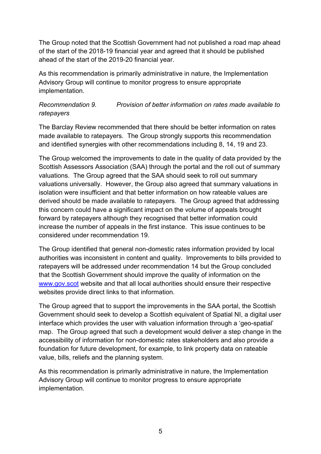The Group noted that the Scottish Government had not published a road map ahead of the start of the 2018-19 financial year and agreed that it should be published ahead of the start of the 2019-20 financial year.

As this recommendation is primarily administrative in nature, the Implementation Advisory Group will continue to monitor progress to ensure appropriate implementation.

# *Recommendation 9. Provision of better information on rates made available to ratepayers*

The Barclay Review recommended that there should be better information on rates made available to ratepayers. The Group strongly supports this recommendation and identified synergies with other recommendations including 8, 14, 19 and 23.

The Group welcomed the improvements to date in the quality of data provided by the Scottish Assessors Association (SAA) through the portal and the roll out of summary valuations. The Group agreed that the SAA should seek to roll out summary valuations universally. However, the Group also agreed that summary valuations in isolation were insufficient and that better information on how rateable values are derived should be made available to ratepayers. The Group agreed that addressing this concern could have a significant impact on the volume of appeals brought forward by ratepayers although they recognised that better information could increase the number of appeals in the first instance. This issue continues to be considered under recommendation 19.

The Group identified that general non-domestic rates information provided by local authorities was inconsistent in content and quality. Improvements to bills provided to ratepayers will be addressed under recommendation 14 but the Group concluded that the Scottish Government should improve the quality of information on the [www.gov.scot](http://www.gov.scot/) website and that all local authorities should ensure their respective websites provide direct links to that information.

The Group agreed that to support the improvements in the SAA portal, the Scottish Government should seek to develop a Scottish equivalent of Spatial NI, a digital user interface which provides the user with valuation information through a 'geo-spatial' map. The Group agreed that such a development would deliver a step change in the accessibility of information for non-domestic rates stakeholders and also provide a foundation for future development, for example, to link property data on rateable value, bills, reliefs and the planning system.

As this recommendation is primarily administrative in nature, the Implementation Advisory Group will continue to monitor progress to ensure appropriate implementation.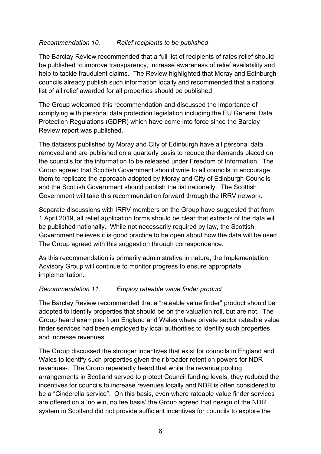# *Recommendation 10. Relief recipients to be published*

The Barclay Review recommended that a full list of recipients of rates relief should be published to improve transparency, increase awareness of relief availability and help to tackle fraudulent claims. The Review highlighted that Moray and Edinburgh councils already publish such information locally and recommended that a national list of all relief awarded for all properties should be published.

The Group welcomed this recommendation and discussed the importance of complying with personal data protection legislation including the EU General Data Protection Regulations (GDPR) which have come into force since the Barclay Review report was published.

The datasets published by Moray and City of Edinburgh have all personal data removed and are published on a quarterly basis to reduce the demands placed on the councils for the information to be released under Freedom of Information. The Group agreed that Scottish Government should write to all councils to encourage them to replicate the approach adopted by Moray and City of Edinburgh Councils and the Scottish Government should publish the list nationally. The Scottish Government will take this recommendation forward through the IRRV network.

Separate discussions with IRRV members on the Group have suggested that from 1 April 2019, all relief application forms should be clear that extracts of the data will be published nationally. While not necessarily required by law, the Scottish Government believes it is good practice to be open about how the data will be used. The Group agreed with this suggestion through correspondence.

As this recommendation is primarily administrative in nature, the Implementation Advisory Group will continue to monitor progress to ensure appropriate implementation.

# *Recommendation 11. Employ rateable value finder product*

The Barclay Review recommended that a "rateable value finder" product should be adopted to identify properties that should be on the valuation roll, but are not. The Group heard examples from England and Wales where private sector rateable value finder services had been employed by local authorities to identify such properties and increase revenues.

The Group discussed the stronger incentives that exist for councils in England and Wales to identify such properties given their broader retention powers for NDR revenues-. The Group repeatedly heard that while the revenue pooling arrangements in Scotland served to protect Council funding levels, they reduced the incentives for councils to increase revenues locally and NDR is often considered to be a "Cinderella service". On this basis, even where rateable value finder services are offered on a 'no win, no fee basis' the Group agreed that design of the NDR system in Scotland did not provide sufficient incentives for councils to explore the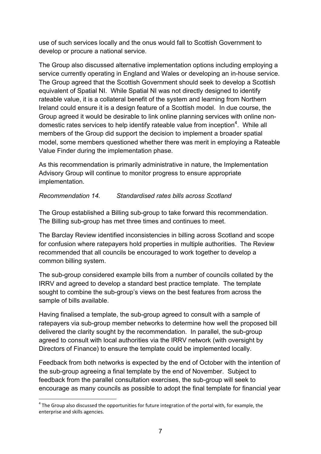use of such services locally and the onus would fall to Scottish Government to develop or procure a national service.

The Group also discussed alternative implementation options including employing a service currently operating in England and Wales or developing an in-house service. The Group agreed that the Scottish Government should seek to develop a Scottish equivalent of Spatial NI. While Spatial NI was not directly designed to identify rateable value, it is a collateral benefit of the system and learning from Northern Ireland could ensure it is a design feature of a Scottish model. In due course, the Group agreed it would be desirable to link online planning services with online nondomestic rates services to help identify rateable value from inception<sup>4</sup>. While all members of the Group did support the decision to implement a broader spatial model, some members questioned whether there was merit in employing a Rateable Value Finder during the implementation phase.

As this recommendation is primarily administrative in nature, the Implementation Advisory Group will continue to monitor progress to ensure appropriate implementation.

# *Recommendation 14. Standardised rates bills across Scotland*

The Group established a Billing sub-group to take forward this recommendation. The Billing sub-group has met three times and continues to meet.

The Barclay Review identified inconsistencies in billing across Scotland and scope for confusion where ratepayers hold properties in multiple authorities. The Review recommended that all councils be encouraged to work together to develop a common billing system.

The sub-group considered example bills from a number of councils collated by the IRRV and agreed to develop a standard best practice template. The template sought to combine the sub-group's views on the best features from across the sample of bills available.

Having finalised a template, the sub-group agreed to consult with a sample of ratepayers via sub-group member networks to determine how well the proposed bill delivered the clarity sought by the recommendation. In parallel, the sub-group agreed to consult with local authorities via the IRRV network (with oversight by Directors of Finance) to ensure the template could be implemented locally.

Feedback from both networks is expected by the end of October with the intention of the sub-group agreeing a final template by the end of November. Subject to feedback from the parallel consultation exercises, the sub-group will seek to encourage as many councils as possible to adopt the final template for financial year

 $\overline{a}$  $<sup>4</sup>$  The Group also discussed the opportunities for future integration of the portal with, for example, the</sup> enterprise and skills agencies.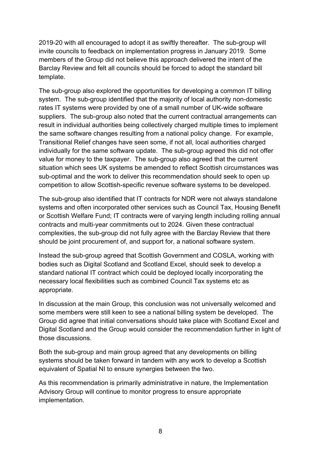2019-20 with all encouraged to adopt it as swiftly thereafter. The sub-group will invite councils to feedback on implementation progress in January 2019. Some members of the Group did not believe this approach delivered the intent of the Barclay Review and felt all councils should be forced to adopt the standard bill template.

The sub-group also explored the opportunities for developing a common IT billing system. The sub-group identified that the majority of local authority non-domestic rates IT systems were provided by one of a small number of UK-wide software suppliers. The sub-group also noted that the current contractual arrangements can result in individual authorities being collectively charged multiple times to implement the same software changes resulting from a national policy change. For example, Transitional Relief changes have seen some, if not all, local authorities charged individually for the same software update. The sub-group agreed this did not offer value for money to the taxpayer. The sub-group also agreed that the current situation which sees UK systems be amended to reflect Scottish circumstances was sub-optimal and the work to deliver this recommendation should seek to open up competition to allow Scottish-specific revenue software systems to be developed.

The sub-group also identified that IT contracts for NDR were not always standalone systems and often incorporated other services such as Council Tax, Housing Benefit or Scottish Welfare Fund; IT contracts were of varying length including rolling annual contracts and multi-year commitments out to 2024. Given these contractual complexities, the sub-group did not fully agree with the Barclay Review that there should be joint procurement of, and support for, a national software system.

Instead the sub-group agreed that Scottish Government and COSLA, working with bodies such as Digital Scotland and Scotland Excel, should seek to develop a standard national IT contract which could be deployed locally incorporating the necessary local flexibilities such as combined Council Tax systems etc as appropriate.

In discussion at the main Group, this conclusion was not universally welcomed and some members were still keen to see a national billing system be developed. The Group did agree that initial conversations should take place with Scotland Excel and Digital Scotland and the Group would consider the recommendation further in light of those discussions.

Both the sub-group and main group agreed that any developments on billing systems should be taken forward in tandem with any work to develop a Scottish equivalent of Spatial NI to ensure synergies between the two.

As this recommendation is primarily administrative in nature, the Implementation Advisory Group will continue to monitor progress to ensure appropriate implementation.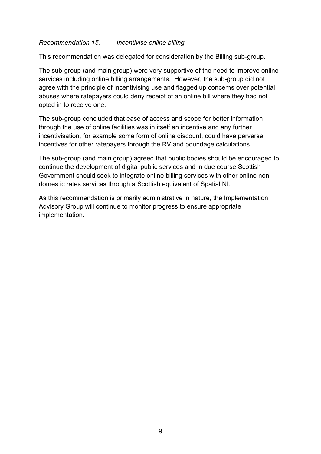#### *Recommendation 15. Incentivise online billing*

This recommendation was delegated for consideration by the Billing sub-group.

The sub-group (and main group) were very supportive of the need to improve online services including online billing arrangements. However, the sub-group did not agree with the principle of incentivising use and flagged up concerns over potential abuses where ratepayers could deny receipt of an online bill where they had not opted in to receive one.

The sub-group concluded that ease of access and scope for better information through the use of online facilities was in itself an incentive and any further incentivisation, for example some form of online discount, could have perverse incentives for other ratepayers through the RV and poundage calculations.

The sub-group (and main group) agreed that public bodies should be encouraged to continue the development of digital public services and in due course Scottish Government should seek to integrate online billing services with other online nondomestic rates services through a Scottish equivalent of Spatial NI.

As this recommendation is primarily administrative in nature, the Implementation Advisory Group will continue to monitor progress to ensure appropriate implementation.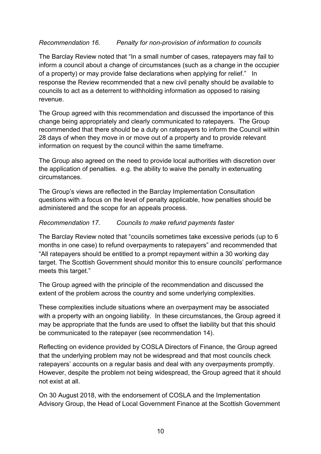# *Recommendation 16. Penalty for non-provision of information to councils*

The Barclay Review noted that "In a small number of cases, ratepayers may fail to inform a council about a change of circumstances (such as a change in the occupier of a property) or may provide false declarations when applying for relief." In response the Review recommended that a new civil penalty should be available to councils to act as a deterrent to withholding information as opposed to raising revenue.

The Group agreed with this recommendation and discussed the importance of this change being appropriately and clearly communicated to ratepayers. The Group recommended that there should be a duty on ratepayers to inform the Council within 28 days of when they move in or move out of a property and to provide relevant information on request by the council within the same timeframe.

The Group also agreed on the need to provide local authorities with discretion over the application of penalties. e.g. the ability to waive the penalty in extenuating circumstances.

The Group's views are reflected in the Barclay Implementation Consultation questions with a focus on the level of penalty applicable, how penalties should be administered and the scope for an appeals process.

#### *Recommendation 17. Councils to make refund payments faster*

The Barclay Review noted that "councils sometimes take excessive periods (up to 6 months in one case) to refund overpayments to ratepayers" and recommended that "All ratepayers should be entitled to a prompt repayment within a 30 working day target. The Scottish Government should monitor this to ensure councils' performance meets this target."

The Group agreed with the principle of the recommendation and discussed the extent of the problem across the country and some underlying complexities.

These complexities include situations where an overpayment may be associated with a property with an ongoing liability. In these circumstances, the Group agreed it may be appropriate that the funds are used to offset the liability but that this should be communicated to the ratepayer (see recommendation 14).

Reflecting on evidence provided by COSLA Directors of Finance, the Group agreed that the underlying problem may not be widespread and that most councils check ratepayers' accounts on a regular basis and deal with any overpayments promptly. However, despite the problem not being widespread, the Group agreed that it should not exist at all.

On 30 August 2018, with the endorsement of COSLA and the Implementation Advisory Group, the Head of Local Government Finance at the Scottish Government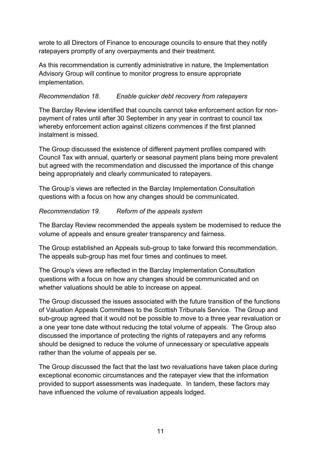wrote to all Directors of Finance to encourage councils to ensure that they notify ratepayers promptly of any overpayments and their treatment.

As this recommendation is currently administrative in nature, the Implementation Advisory Group will continue to monitor progress to ensure appropriate implementation.

# *Recommendation 18. Enable quicker debt recovery from ratepayers*

The Barclay Review identified that councils cannot take enforcement action for nonpayment of rates until after 30 September in any year in contrast to council tax whereby enforcement action against citizens commences if the first planned instalment is missed.

The Group discussed the existence of different payment profiles compared with Council Tax with annual, quarterly or seasonal payment plans being more prevalent but agreed with the recommendation and discussed the importance of this change being appropriately and clearly communicated to ratepayers.

The Group's views are reflected in the Barclay Implementation Consultation questions with a focus on how any changes should be communicated.

# *Recommendation 19. Reform of the appeals system*

The Barclay Review recommended the appeals system be modernised to reduce the volume of appeals and ensure greater transparency and fairness.

The Group established an Appeals sub-group to take forward this recommendation. The appeals sub-group has met four times and continues to meet.

The Group's views are reflected in the Barclay Implementation Consultation questions with a focus on how any changes should be communicated and on whether valuations should be able to increase on appeal.

The Group discussed the issues associated with the future transition of the functions of Valuation Appeals Committees to the Scottish Tribunals Service. The Group and sub-group agreed that it would not be possible to move to a three year revaluation or a one year tone date without reducing the total volume of appeals. The Group also discussed the importance of protecting the rights of ratepayers and any reforms should be designed to reduce the volume of unnecessary or speculative appeals rather than the volume of appeals per se.

The Group discussed the fact that the last two revaluations have taken place during exceptional economic circumstances and the ratepayer view that the information provided to support assessments was inadequate. In tandem, these factors may have influenced the volume of revaluation appeals lodged.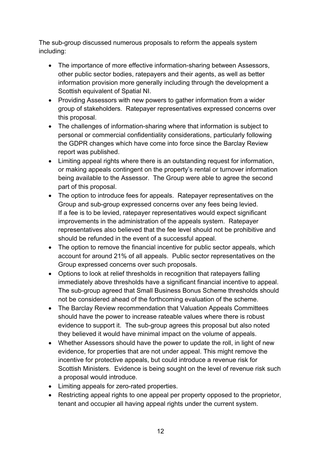The sub-group discussed numerous proposals to reform the appeals system including:

- The importance of more effective information-sharing between Assessors, other public sector bodies, ratepayers and their agents, as well as better information provision more generally including through the development a Scottish equivalent of Spatial NI.
- Providing Assessors with new powers to gather information from a wider group of stakeholders. Ratepayer representatives expressed concerns over this proposal.
- The challenges of information-sharing where that information is subject to personal or commercial confidentiality considerations, particularly following the GDPR changes which have come into force since the Barclay Review report was published.
- Limiting appeal rights where there is an outstanding request for information, or making appeals contingent on the property's rental or turnover information being available to the Assessor. The Group were able to agree the second part of this proposal.
- The option to introduce fees for appeals. Ratepayer representatives on the Group and sub-group expressed concerns over any fees being levied. If a fee is to be levied, ratepayer representatives would expect significant improvements in the administration of the appeals system. Ratepayer representatives also believed that the fee level should not be prohibitive and should be refunded in the event of a successful appeal.
- The option to remove the financial incentive for public sector appeals, which account for around 21% of all appeals. Public sector representatives on the Group expressed concerns over such proposals.
- Options to look at relief thresholds in recognition that ratepayers falling immediately above thresholds have a significant financial incentive to appeal. The sub-group agreed that Small Business Bonus Scheme thresholds should not be considered ahead of the forthcoming evaluation of the scheme.
- The Barclay Review recommendation that Valuation Appeals Committees should have the power to increase rateable values where there is robust evidence to support it. The sub-group agrees this proposal but also noted they believed it would have minimal impact on the volume of appeals.
- Whether Assessors should have the power to update the roll, in light of new evidence, for properties that are not under appeal. This might remove the incentive for protective appeals, but could introduce a revenue risk for Scottish Ministers. Evidence is being sought on the level of revenue risk such a proposal would introduce.
- Limiting appeals for zero-rated properties.
- Restricting appeal rights to one appeal per property opposed to the proprietor, tenant and occupier all having appeal rights under the current system.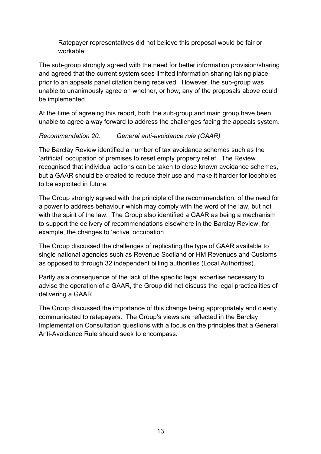Ratepayer representatives did not believe this proposal would be fair or workable.

The sub-group strongly agreed with the need for better information provision/sharing and agreed that the current system sees limited information sharing taking place prior to an appeals panel citation being received. However, the sub-group was unable to unanimously agree on whether, or how, any of the proposals above could be implemented.

At the time of agreeing this report, both the sub-group and main group have been unable to agree a way forward to address the challenges facing the appeals system.

# *Recommendation 20. General anti-avoidance rule (GAAR)*

The Barclay Review identified a number of tax avoidance schemes such as the 'artificial' occupation of premises to reset empty property relief. The Review recognised that individual actions can be taken to close known avoidance schemes, but a GAAR should be created to reduce their use and make it harder for loopholes to be exploited in future.

The Group strongly agreed with the principle of the recommendation, of the need for a power to address behaviour which may comply with the word of the law, but not with the spirit of the law. The Group also identified a GAAR as being a mechanism to support the delivery of recommendations elsewhere in the Barclay Review, for example, the changes to 'active' occupation.

The Group discussed the challenges of replicating the type of GAAR available to single national agencies such as Revenue Scotland or HM Revenues and Customs as opposed to through 32 independent billing authorities (Local Authorities).

Partly as a consequence of the lack of the specific legal expertise necessary to advise the operation of a GAAR, the Group did not discuss the legal practicalities of delivering a GAAR.

The Group discussed the importance of this change being appropriately and clearly communicated to ratepayers. The Group's views are reflected in the Barclay Implementation Consultation questions with a focus on the principles that a General Anti-Avoidance Rule should seek to encompass.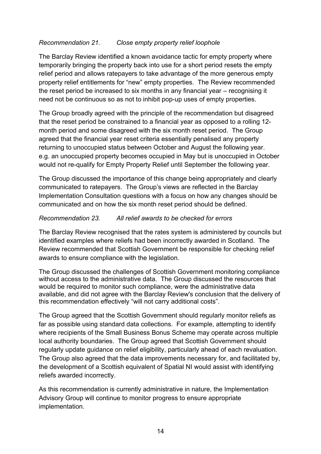# *Recommendation 21. Close empty property relief loophole*

The Barclay Review identified a known avoidance tactic for empty property where temporarily bringing the property back into use for a short period resets the empty relief period and allows ratepayers to take advantage of the more generous empty property relief entitlements for "new" empty properties. The Review recommended the reset period be increased to six months in any financial year – recognising it need not be continuous so as not to inhibit pop-up uses of empty properties.

The Group broadly agreed with the principle of the recommendation but disagreed that the reset period be constrained to a financial year as opposed to a rolling 12 month period and some disagreed with the six month reset period. The Group agreed that the financial year reset criteria essentially penalised any property returning to unoccupied status between October and August the following year. e.g. an unoccupied property becomes occupied in May but is unoccupied in October would not re-qualify for Empty Property Relief until September the following year.

The Group discussed the importance of this change being appropriately and clearly communicated to ratepayers. The Group's views are reflected in the Barclay Implementation Consultation questions with a focus on how any changes should be communicated and on how the six month reset period should be defined.

#### *Recommendation 23. All relief awards to be checked for errors*

The Barclay Review recognised that the rates system is administered by councils but identified examples where reliefs had been incorrectly awarded in Scotland. The Review recommended that Scottish Government be responsible for checking relief awards to ensure compliance with the legislation.

The Group discussed the challenges of Scottish Government monitoring compliance without access to the administrative data. The Group discussed the resources that would be required to monitor such compliance, were the administrative data available, and did not agree with the Barclay Review's conclusion that the delivery of this recommendation effectively "will not carry additional costs".

The Group agreed that the Scottish Government should regularly monitor reliefs as far as possible using standard data collections. For example, attempting to identify where recipients of the Small Business Bonus Scheme may operate across multiple local authority boundaries. The Group agreed that Scottish Government should regularly update guidance on relief eligibility, particularly ahead of each revaluation. The Group also agreed that the data improvements necessary for, and facilitated by, the development of a Scottish equivalent of Spatial NI would assist with identifying reliefs awarded incorrectly.

As this recommendation is currently administrative in nature, the Implementation Advisory Group will continue to monitor progress to ensure appropriate implementation.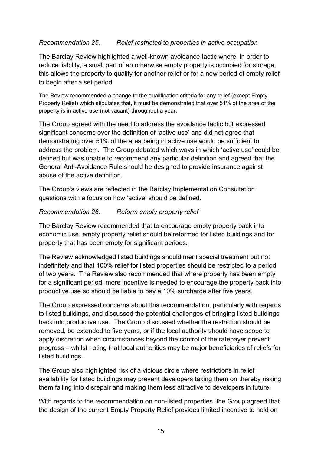### *Recommendation 25. Relief restricted to properties in active occupation*

The Barclay Review highlighted a well-known avoidance tactic where, in order to reduce liability, a small part of an otherwise empty property is occupied for storage; this allows the property to qualify for another relief or for a new period of empty relief to begin after a set period.

The Review recommended a change to the qualification criteria for any relief (except Empty Property Relief) which stipulates that, it must be demonstrated that over 51% of the area of the property is in active use (not vacant) throughout a year.

The Group agreed with the need to address the avoidance tactic but expressed significant concerns over the definition of 'active use' and did not agree that demonstrating over 51% of the area being in active use would be sufficient to address the problem. The Group debated which ways in which 'active use' could be defined but was unable to recommend any particular definition and agreed that the General Anti-Avoidance Rule should be designed to provide insurance against abuse of the active definition.

The Group's views are reflected in the Barclay Implementation Consultation questions with a focus on how 'active' should be defined.

#### *Recommendation 26. Reform empty property relief*

The Barclay Review recommended that to encourage empty property back into economic use, empty property relief should be reformed for listed buildings and for property that has been empty for significant periods.

The Review acknowledged listed buildings should merit special treatment but not indefinitely and that 100% relief for listed properties should be restricted to a period of two years. The Review also recommended that where property has been empty for a significant period, more incentive is needed to encourage the property back into productive use so should be liable to pay a 10% surcharge after five years.

The Group expressed concerns about this recommendation, particularly with regards to listed buildings, and discussed the potential challenges of bringing listed buildings back into productive use. The Group discussed whether the restriction should be removed, be extended to five years, or if the local authority should have scope to apply discretion when circumstances beyond the control of the ratepayer prevent progress – whilst noting that local authorities may be major beneficiaries of reliefs for listed buildings.

The Group also highlighted risk of a vicious circle where restrictions in relief availability for listed buildings may prevent developers taking them on thereby risking them falling into disrepair and making them less attractive to developers in future.

With regards to the recommendation on non-listed properties, the Group agreed that the design of the current Empty Property Relief provides limited incentive to hold on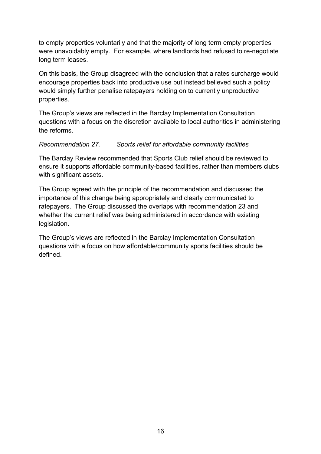to empty properties voluntarily and that the majority of long term empty properties were unavoidably empty. For example, where landlords had refused to re-negotiate long term leases.

On this basis, the Group disagreed with the conclusion that a rates surcharge would encourage properties back into productive use but instead believed such a policy would simply further penalise ratepayers holding on to currently unproductive properties.

The Group's views are reflected in the Barclay Implementation Consultation questions with a focus on the discretion available to local authorities in administering the reforms.

# *Recommendation 27. Sports relief for affordable community facilities*

The Barclay Review recommended that Sports Club relief should be reviewed to ensure it supports affordable community-based facilities, rather than members clubs with significant assets.

The Group agreed with the principle of the recommendation and discussed the importance of this change being appropriately and clearly communicated to ratepayers. The Group discussed the overlaps with recommendation 23 and whether the current relief was being administered in accordance with existing legislation.

The Group's views are reflected in the Barclay Implementation Consultation questions with a focus on how affordable/community sports facilities should be defined.